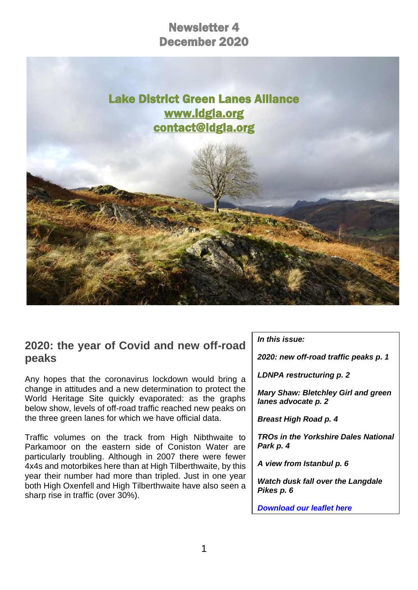# Newsletter 4 December 2020



#### **2020: the year of Covid and new off-road peaks**

Any hopes that the coronavirus lockdown would bring a change in attitudes and a new determination to protect the World Heritage Site quickly evaporated: as the graphs below show, levels of off-road traffic reached new peaks on the three green lanes for which we have official data.

Traffic volumes on the track from High Nibthwaite to Parkamoor on the eastern side of Coniston Water are particularly troubling. Although in 2007 there were fewer 4x4s and motorbikes here than at High Tilberthwaite, by this year their number had more than tripled. Just in one year both High Oxenfell and High Tilberthwaite have also seen a sharp rise in traffic (over 30%).

*In this issue:*

*2020: new off-road traffic peaks p. 1*

*LDNPA restructuring p. 2*

*Mary Shaw: Bletchley Girl and green lanes advocate p. 2*

*Breast High Road p. 4*

*TROs in the Yorkshire Dales National Park p. 4*

*A view from Istanbul p. 6*

*Watch dusk fall over the Langdale Pikes p. 6*

*[Download our leaflet here](https://d93992ec-49a9-490d-8cd2-4c8f6682bde7.filesusr.com/ugd/269609_4dfa44ecc9c94858b47eb7b5075a5d50.pdf)*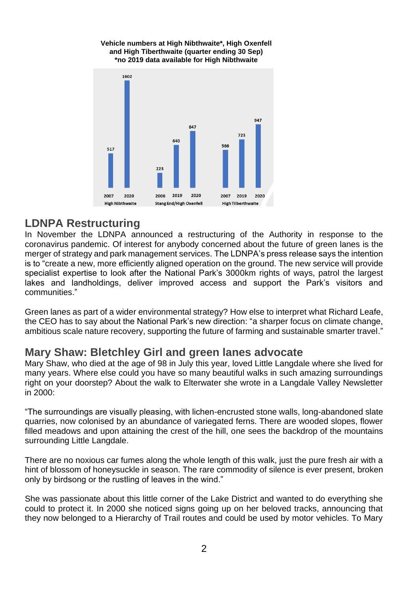#### **Vehicle numbers at High Nibthwaite\*, High Oxenfell and High Tiberthwaite (quarter ending 30 Sep) \*no 2019 data available for High Nibthwaite**



#### **LDNPA Restructuring**

In November the LDNPA announced a restructuring of the Authority in response to the coronavirus pandemic. Of interest for anybody concerned about the future of green lanes is the merger of strategy and park management services. The LDNPA's press release says the intention is to "create a new, more efficiently aligned operation on the ground. The new service will provide specialist expertise to look after the National Park's 3000km rights of ways, patrol the largest lakes and landholdings, deliver improved access and support the Park's visitors and communities."

Green lanes as part of a wider environmental strategy? How else to interpret what Richard Leafe, the CEO has to say about the National Park's new direction: "a sharper focus on climate change, ambitious scale nature recovery, supporting the future of farming and sustainable smarter travel."

### **Mary Shaw: Bletchley Girl and green lanes advocate**

Mary Shaw, who died at the age of 98 in July this year, loved Little Langdale where she lived for many years. Where else could you have so many beautiful walks in such amazing surroundings right on your doorstep? About the walk to Elterwater she wrote in a Langdale Valley Newsletter in 2000:

"The surroundings are visually pleasing, with lichen-encrusted stone walls, long-abandoned slate quarries, now colonised by an abundance of variegated ferns. There are wooded slopes, flower filled meadows and upon attaining the crest of the hill, one sees the backdrop of the mountains surrounding Little Langdale.

There are no noxious car fumes along the whole length of this walk, just the pure fresh air with a hint of blossom of honeysuckle in season. The rare commodity of silence is ever present, broken only by birdsong or the rustling of leaves in the wind."

She was passionate about this little corner of the Lake District and wanted to do everything she could to protect it. In 2000 she noticed signs going up on her beloved tracks, announcing that they now belonged to a Hierarchy of Trail routes and could be used by motor vehicles. To Mary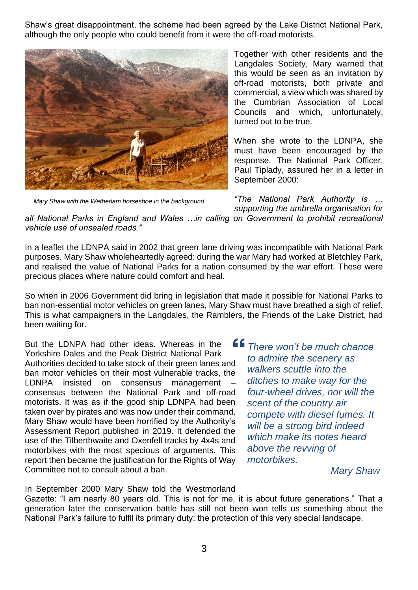Shaw's great disappointment, the scheme had been agreed by the Lake District National Park, although the only people who could benefit from it were the off-road motorists.



*Mary Shaw with the Wetherlam horseshoe in the background*

Together with other residents and the Langdales Society, Mary warned that this would be seen as an invitation by off-road motorists, both private and commercial, a view which was shared by the Cumbrian Association of Local Councils and which, unfortunately, turned out to be true.

When she wrote to the LDNPA, she must have been encouraged by the response. The National Park Officer, Paul Tiplady, assured her in a letter in September 2000:

*"The National Park Authority is … supporting the umbrella organisation for* 

*all National Parks in England and Wales …in calling on Government to prohibit recreational vehicle use of unsealed roads."*

In a leaflet the LDNPA said in 2002 that green lane driving was incompatible with National Park purposes. Mary Shaw wholeheartedly agreed: during the war Mary had worked at Bletchley Park, and realised the value of National Parks for a nation consumed by the war effort. These were precious places where nature could comfort and heal.

So when in 2006 Government did bring in legislation that made it possible for National Parks to ban non-essential motor vehicles on green lanes, Mary Shaw must have breathed a sigh of relief. This is what campaigners in the Langdales, the Ramblers, the Friends of the Lake District, had been waiting for.

But the LDNPA had other ideas. Whereas in the Yorkshire Dales and the Peak District National Park Authorities decided to take stock of their green lanes and ban motor vehicles on their most vulnerable tracks, the LDNPA insisted on consensus management consensus between the National Park and off-road motorists. It was as if the good ship LDNPA had been taken over by pirates and was now under their command. Mary Shaw would have been horrified by the Authority's Assessment Report published in 2019. It defended the use of the Tilberthwaite and Oxenfell tracks by 4x4s and motorbikes with the most specious of arguments. This report then became the justification for the Rights of Way Committee not to consult about a ban.

*There won't be much chance to admire the scenery as walkers scuttle into the ditches to make way for the four-wheel drives, nor will the scent of the country air compete with diesel fumes. It will be a strong bird indeed which make its notes heard above the revving of motorbikes.*

*Mary Shaw*

In September 2000 Mary Shaw told the Westmorland

Gazette: "I am nearly 80 years old. This is not for me, it is about future generations." That a generation later the conservation battle has still not been won tells us something about the National Park's failure to fulfil its primary duty: the protection of this very special landscape.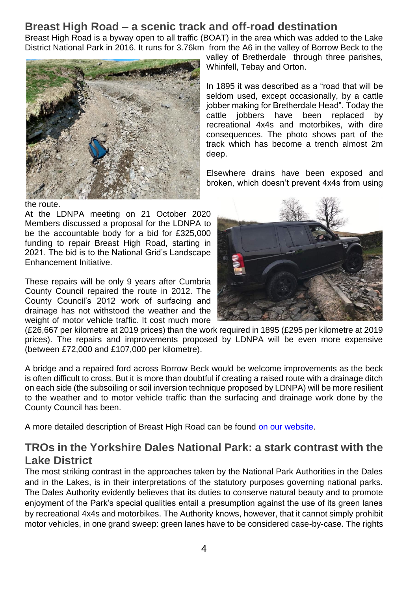## **Breast High Road – a scenic track and off-road destination**

Breast High Road is a byway open to all traffic (BOAT) in the area which was added to the Lake District National Park in 2016. It runs for 3.76km from the A6 in the valley of Borrow Beck to the valley of Bretherdale through three parishes,

deep.

Whinfell, Tebay and Orton.



the route.

At the LDNPA meeting on 21 October 2020 Members discussed a proposal for the LDNPA to be the accountable body for a bid for £325,000 funding to repair Breast High Road, starting in 2021. The bid is to the National Grid's Landscape Enhancement Initiative.

These repairs will be only 9 years after Cumbria County Council repaired the route in 2012. The County Council's 2012 work of surfacing and drainage has not withstood the weather and the weight of motor vehicle traffic. It cost much more

In 1895 it was described as a "road that will be seldom used, except occasionally, by a cattle jobber making for Bretherdale Head". Today the cattle jobbers have been replaced by recreational 4x4s and motorbikes, with dire consequences. The photo shows part of the track which has become a trench almost 2m

Elsewhere drains have been exposed and broken, which doesn't prevent 4x4s from using

(£26,667 per kilometre at 2019 prices) than the work required in 1895 (£295 per kilometre at 2019 prices). The repairs and improvements proposed by LDNPA will be even more expensive (between £72,000 and £107,000 per kilometre).

A bridge and a repaired ford across Borrow Beck would be welcome improvements as the beck is often difficult to cross. But it is more than doubtful if creating a raised route with a drainage ditch on each side (the subsoiling or soil inversion technique proposed by LDNPA) will be more resilient to the weather and to motor vehicle traffic than the surfacing and drainage work done by the County Council has been.

A more detailed description of Breast High Road can be found [on our website.](https://d93992ec-49a9-490d-8cd2-4c8f6682bde7.filesusr.com/ugd/269609_c96a96cd04b64fa98343041d5274e519.pdf)

# **TROs in the Yorkshire Dales National Park: a stark contrast with the Lake District**

The most striking contrast in the approaches taken by the National Park Authorities in the Dales and in the Lakes, is in their interpretations of the statutory purposes governing national parks. The Dales Authority evidently believes that its duties to conserve natural beauty and to promote enjoyment of the Park's special qualities entail a presumption against the use of its green lanes by recreational 4x4s and motorbikes. The Authority knows, however, that it cannot simply prohibit motor vehicles, in one grand sweep: green lanes have to be considered case-by-case. The rights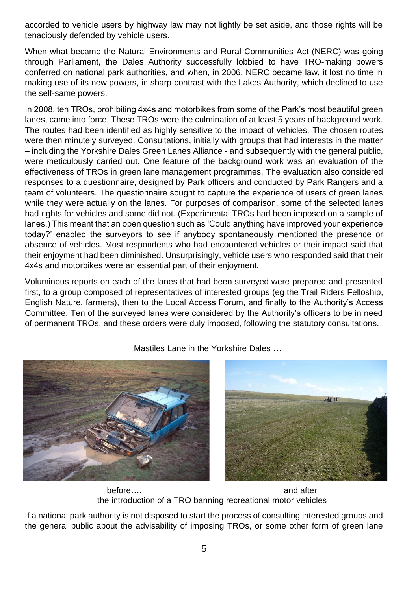accorded to vehicle users by highway law may not lightly be set aside, and those rights will be tenaciously defended by vehicle users.

When what became the Natural Environments and Rural Communities Act (NERC) was going through Parliament, the Dales Authority successfully lobbied to have TRO-making powers conferred on national park authorities, and when, in 2006, NERC became law, it lost no time in making use of its new powers, in sharp contrast with the Lakes Authority, which declined to use the self-same powers.

In 2008, ten TROs, prohibiting 4x4s and motorbikes from some of the Park's most beautiful green lanes, came into force. These TROs were the culmination of at least 5 years of background work. The routes had been identified as highly sensitive to the impact of vehicles. The chosen routes were then minutely surveyed. Consultations, initially with groups that had interests in the matter – including the Yorkshire Dales Green Lanes Alliance - and subsequently with the general public, were meticulously carried out. One feature of the background work was an evaluation of the effectiveness of TROs in green lane management programmes. The evaluation also considered responses to a questionnaire, designed by Park officers and conducted by Park Rangers and a team of volunteers. The questionnaire sought to capture the experience of users of green lanes while they were actually on the lanes. For purposes of comparison, some of the selected lanes had rights for vehicles and some did not. (Experimental TROs had been imposed on a sample of lanes.) This meant that an open question such as 'Could anything have improved your experience today?' enabled the surveyors to see if anybody spontaneously mentioned the presence or absence of vehicles. Most respondents who had encountered vehicles or their impact said that their enjoyment had been diminished. Unsurprisingly, vehicle users who responded said that their 4x4s and motorbikes were an essential part of their enjoyment.

Voluminous reports on each of the lanes that had been surveyed were prepared and presented first, to a group composed of representatives of interested groups (eg the Trail Riders Felloship, English Nature, farmers), then to the Local Access Forum, and finally to the Authority's Access Committee. Ten of the surveyed lanes were considered by the Authority's officers to be in need of permanent TROs, and these orders were duly imposed, following the statutory consultations.



Mastiles Lane in the Yorkshire Dales …

before…. before…. the introduction of a TRO banning recreational motor vehicles

If a national park authority is not disposed to start the process of consulting interested groups and the general public about the advisability of imposing TROs, or some other form of green lane